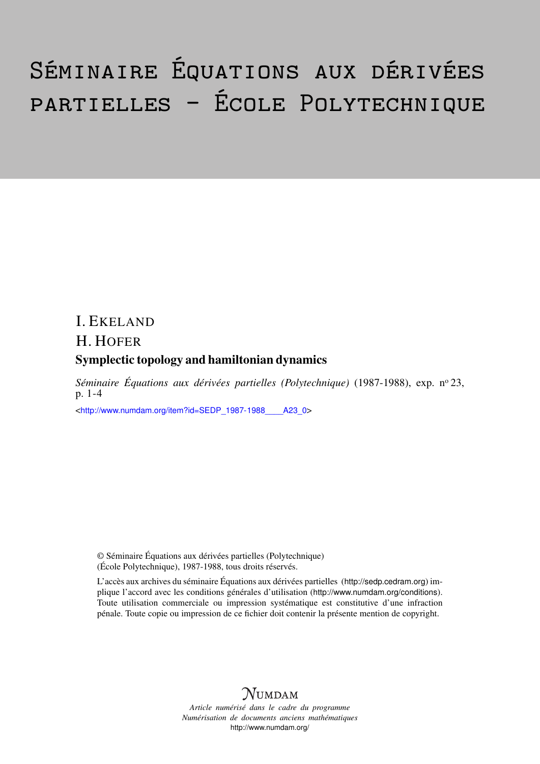# Séminaire Équations aux dérivées partielles – École Polytechnique

## I. EKELAND H. HOFER Symplectic topology and hamiltonian dynamics

*Séminaire Équations aux dérivées partielles (Polytechnique)* (1987-1988), exp. n<sup>o</sup> 23, p. 1-4

<[http://www.numdam.org/item?id=SEDP\\_1987-1988\\_\\_\\_\\_A23\\_0](http://www.numdam.org/item?id=SEDP_1987-1988____A23_0)>

© Séminaire Équations aux dérivées partielles (Polytechnique) (École Polytechnique), 1987-1988, tous droits réservés.

L'accès aux archives du séminaire Équations aux dérivées partielles (<http://sedp.cedram.org>) implique l'accord avec les conditions générales d'utilisation (<http://www.numdam.org/conditions>). Toute utilisation commerciale ou impression systématique est constitutive d'une infraction pénale. Toute copie ou impression de ce fichier doit contenir la présente mention de copyright.



*Article numérisé dans le cadre du programme Numérisation de documents anciens mathématiques* <http://www.numdam.org/>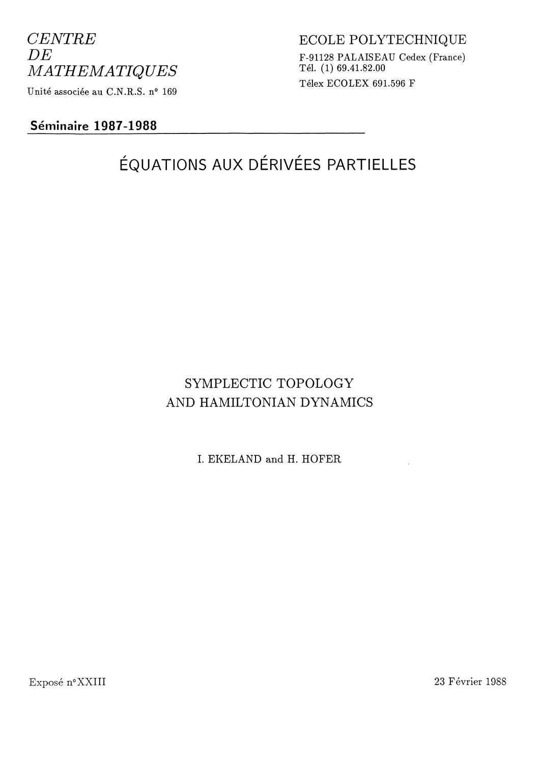## CENTRE DE MATHEMATIQUES Unité associée au C.N.R.S. n° 169

## Séminaire 1987-1988

## ECOLE POLYTECHNIQUE F-91128 PALAISEAU Cedex (France) Tél. (1) 69.41.82.00 Télex ECOLEX 691.596 F

## ÉQUATIONS AUX DÉRIVÉES PARTIELLES

## SYMPLECTIC TOPOLOGY AND HAMILTONIAN DYNAMICS

I. EKELAND and H. HOFER

Exposé n° XXI II 23 Février 1988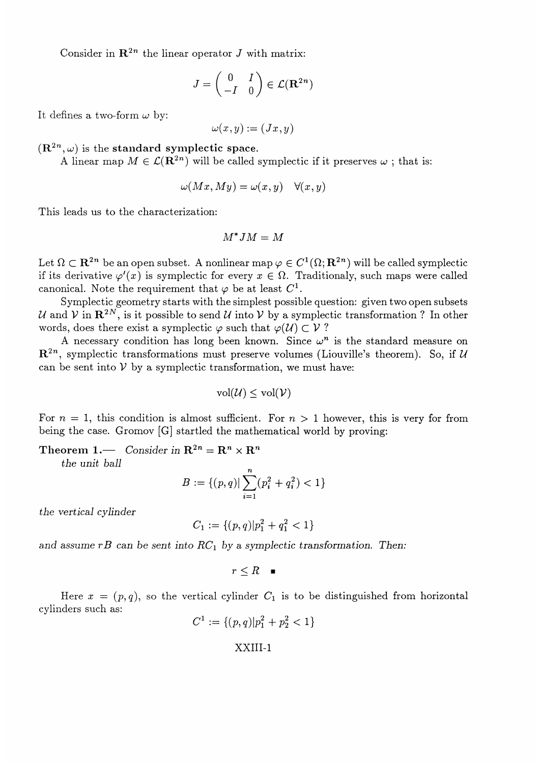Consider in  $\mathbb{R}^{2n}$  the linear operator J with matrix:

$$
J = \begin{pmatrix} 0 & I \\ -I & 0 \end{pmatrix} \in \mathcal{L}(\mathbf{R}^{2n})
$$

It defines a two-form  $\omega$  by:

$$
\omega(x,y) := (Jx,y)
$$

 $(\mathbf{R}^{2n}, \omega)$  is the standard symplectic space.

A linear map  $M \in \mathcal{L}(\mathbb{R}^{2n})$  will be called symplectic if it preserves  $\omega$ ; that is:

$$
\omega(Mx, My) = \omega(x, y) \quad \forall (x, y)
$$

This leads us to the characterization:

$$
M^*JM=M
$$

Let  $\Omega \subset \mathbb{R}^{2n}$  be an open subset. A nonlinear map  $\varphi \in C^1(\Omega; \mathbb{R}^{2n})$  will be called symplectic if its derivative  $\varphi'(x)$  is symplectic for every  $x \in \Omega$ . Traditionaly, such maps were called canonical. Note the requirement that  $\varphi$  be at least  $C^1$ .

Symplectic geometry starts with the simplest possible question: given two open subsets U and V in  $\mathbb{R}^{2N}$ , is it possible to send U into V by a symplectic transformation ? In other words, does there exist a symplectic  $\varphi$  such that  $\varphi$   $\mathcal{U}$   $\subset \mathcal{V}$  ?

A necessary condition has long been known. Since  $\omega^n$  is the standard measure on  $\mathbb{R}^{2n}$ , symplectic transformations must preserve volumes (Liouville's theorem). So, if U can be sent into  $V$  by a symplectic transformation, we must have:

$$
\mathrm{vol}(\mathcal{U}) \leq \mathrm{vol}(\mathcal{V})
$$

For  $n = 1$ , this condition is almost sufficient. For  $n > 1$  however, this is very for from being the case. Gromov [G] startled the mathematical world by proving:

Theorem 1. Consider in  $\mathbf{R}^{2n} = \mathbf{R}^n \times \mathbf{R}^n$ 

the unit ball

$$
B := \{(p,q) | \sum_{i=1}^{n} (p_i^2 + q_i^2) < 1\}
$$

the vertical cylinder

$$
C_1 := \{(p,q)|p_1^2 + q_1^2 < 1\}
$$

and assume rB can be sent into  $RC<sub>1</sub>$  by a symplectic transformation. Then:

$$
r\leq R \quad \blacksquare
$$

Here  $x = (p, q)$ , so the vertical cylinder  $C_1$  is to be distinguished from horizontal cylinders such as:

$$
C^1 := \{(p,q)|p_1^2 + p_2^2 < 1\}
$$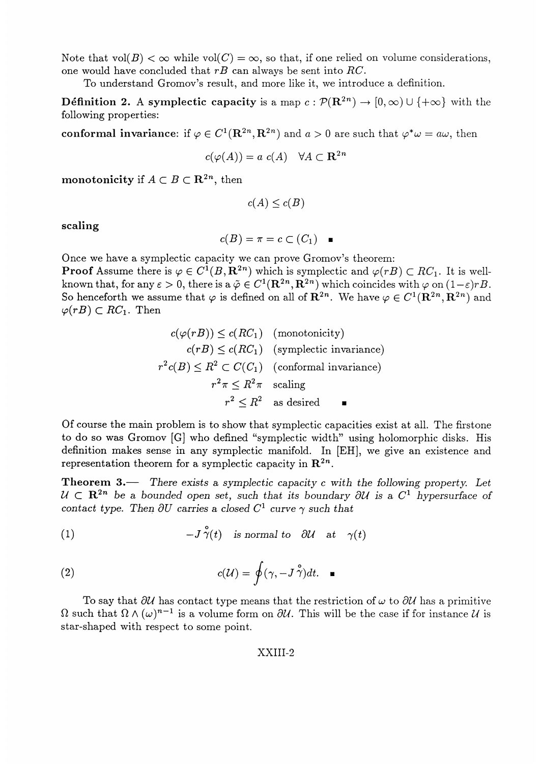Note that  $vol(B) < \infty$  while  $vol(C) = \infty$ , so that, if one relied on volume considerations, one would have concluded that rB can always be sent into RC.

To understand Gromov's result, and more like it, we introduce a definition.

**Définition 2.** A symplectic capacity is a map  $c : \mathcal{P}(\mathbb{R}^{2n}) \to [0,\infty) \cup \{+\infty\}$  with the following properties:

conformal invariance: if  $\varphi \in C^1(\mathbf{R}^{2n}, \mathbf{R}^{2n})$  and  $a > 0$  are such that  $\varphi^* \omega = a\omega$ , then

$$
c(\varphi(A)) = a \ c(A) \quad \forall A \subset \mathbf{R}^{2n}
$$

monotonicity if  $A \subset B \subset \mathbf{R}^{2n}$ , then

$$
c(A) \leq c(B)
$$

scaling

$$
c(B)=\pi=c\subset (C_1)\quad \blacksquare
$$

Once we have a symplectic capacity we can prove Gromov's theorem: **Proof** Assume there is  $\varphi \in C^1(B, \mathbb{R}^{2n})$  which is symplectic and  $\varphi(rB) \subset RC_1$ . It is wellknown that, for any  $\varepsilon > 0$ , there is a  $\tilde{\varphi} \in C^1(\mathbf{R}^{2n}, \mathbf{R}^{2n})$  which coincides with  $\varphi$  on  $(1-\varepsilon)rB$ . So henceforth we assume that  $\varphi$  is defined on all of  $\mathbb{R}^{2n}$ . We have  $\varphi \in C^1(\mathbb{R}^{2n}, \mathbb{R}^{2n})$  and  $\varphi(rB) \subset RC_1$ . Then

> $c(\varphi(rB)) \leq c(RC_1)$  (monotonicity)  $c(rB) \leq c(RC_1)$  (symplectic invariance)  $r^2c(B) \leq R^2 \subset C(C_1)$  (conformal invariance)  $r^2\pi \leq R^2\pi$  scaling  $r^2 \leq R^2$  as desired

Of course the main problem is to show that symplectic capacities exist at all. The firstone to do so was Gromov [G] who defined "symplectic width" using holomorphic disks. His definition makes sense in any symplectic manifold. In [EH], we give an existence and representation theorem for a symplectic capacity in  $\mathbb{R}^{2n}$ .

**Theorem 3.** There exists a symplectic capacity c with the following property. Let  $U \subset \mathbb{R}^{2n}$  be a bounded open set, such that its boundary  $\partial U$  is a  $C^1$  hypersurface of contact type. Then  $\partial U$  carries a closed  $C^1$  curve  $\gamma$  such that

(1) 
$$
-J\check{\gamma}(t)
$$
 is normal to  $\partial U$  at  $\gamma(t)$ 

(2) 
$$
c(\mathcal{U}) = \oint (\gamma, -J\overset{\circ}{\gamma})dt. \quad \blacksquare
$$

To say that  $\partial U$  has contact type means that the restriction of  $\omega$  to  $\partial U$  has a primitive  $\Omega$  such that  $\Omega \wedge (\omega)^{n-1}$  is a volume form on  $\partial U$ . This will be the case if for instance U is star-shaped with respect to some point.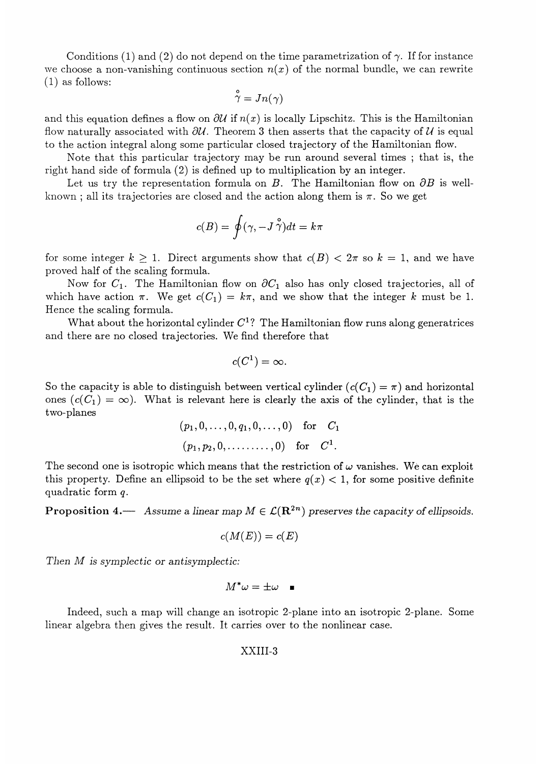Conditions (1) and (2) do not depend on the time parametrization of  $\gamma$ . If for instance we choose a non-vanishing continuous section  $n(x)$  of the normal bundle, we can rewrite  $(1)$  as follows:

$$
\overset{\mathtt{o}}{\gamma} = Jn(\gamma)
$$

and this equation defines a flow on  $\partial U$  if  $n(x)$  is locally Lipschitz. This is the Hamiltonian flow naturally associated with  $\partial U$ . Theorem 3 then asserts that the capacity of U is equal to the action integral along some particular closed trajectory of the Hamiltonian flow.

Note that this particular trajectory may be run around several times ; that is, the right hand side of formula (2) is defined up to multiplication by an integer.

Let us try the representation formula on B. The Hamiltonian flow on  $\partial B$  is wellknown; all its trajectories are closed and the action along them is  $\pi$ . So we get

$$
c(B)=\oint (\gamma,-J\stackrel{\circ}{\gamma}) dt=k\pi
$$

for some integer  $k \geq 1$ . Direct arguments show that  $c(B) < 2\pi$  so  $k = 1$ , and we have proved half of the scaling formula.

Now for  $C_1$ . The Hamiltonian flow on  $\partial C_1$  also has only closed trajectories, all of which have action  $\pi$ . We get  $c(C_1) = k\pi$ , and we show that the integer k must be 1. Hence the scaling formula.

What about the horizontal cylinder  $C<sup>1</sup>$ ? The Hamiltonian flow runs along generatrices and there are no closed trajectories. We find therefore that

$$
c(C^1)=\infty.
$$

So the capacity is able to distinguish between vertical cylinder  $(c(C_1) = \pi)$  and horizontal ones  $(c(C_1) = \infty)$ . What is relevant here is clearly the axis of the cylinder, that is the two-planes

$$
(p_1, 0, \ldots, 0, q_1, 0, \ldots, 0)
$$
 for  $C_1$   
 $(p_1, p_2, 0, \ldots, 0)$  for  $C^1$ .

The second one is isotropic which means that the restriction of  $\omega$  vanishes. We can exploit this property. Define an ellipsoid to be the set where  $q(x) < 1$ , for some positive definite quadratic form q.

**Proposition 4.** Assume a linear map  $M \in \mathcal{L}(\mathbb{R}^{2n})$  preserves the capacity of ellipsoids.

$$
c(M(E)) = c(E)
$$

Then M is symplectic or antisymplectic:

$$
M^*\omega=\pm\omega\quad \blacksquare
$$

Indeed, such a map will change an isotropic 2-plane into an isotropic 2-plane. Some linear algebra then gives the result. It carries over to the nonlinear case.